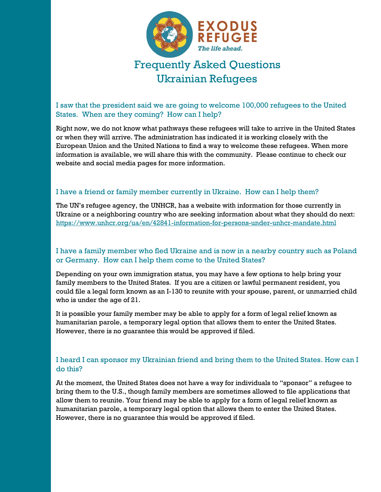

# Ukrainian Refugees

## I saw that the president said we are going to welcome 100,000 refugees to the United States. When are they coming? How can I help?

Right now, we do not know what pathways these refugees will take to arrive in the United States or when they will arrive. The administration has indicated it is working closely with the European Union and the United Nations to find a way to welcome these refugees. When more information is available, we will share this with the community. Please continue to check our website and social media pages for more information.

#### I have a friend or family member currently in Ukraine. How can I help them?

The UN's refugee agency, the UNHCR, has a website with information for those currently in Ukraine or a neighboring country who are seeking information about what they should do next: <https://www.unhcr.org/ua/en/42841-information-for-persons-under-unhcr-mandate.html>

### I have a family member who fled Ukraine and is now in a nearby country such as Poland or Germany. How can I help them come to the United States?

Depending on your own immigration status, you may have a few options to help bring your family members to the United States. If you are a citizen or lawful permanent resident, you could file a legal form known as an I-130 to reunite with your spouse, parent, or unmarried child who is under the age of 21.

It is possible your family member may be able to apply for a form of legal relief known as humanitarian parole, a temporary legal option that allows them to enter the United States. However, there is no guarantee this would be approved if filed.

### I heard I can sponsor my Ukrainian friend and bring them to the United States. How can I do this?

At the moment, the United States does not have a way for individuals to "sponsor" a refugee to bring them to the U.S., though family members are sometimes allowed to file applications that allow them to reunite. Your friend may be able to apply for a form of legal relief known as humanitarian parole, a temporary legal option that allows them to enter the United States. However, there is no guarantee this would be approved if filed.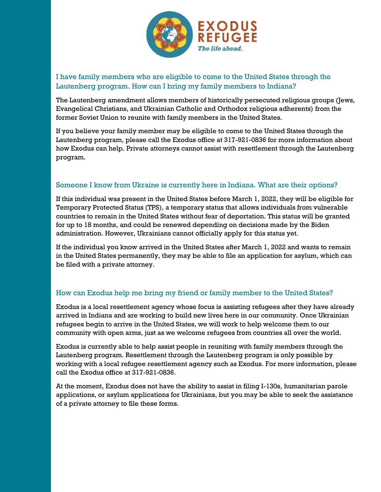

# I have family members who are eligible to come to the United States through the Lautenberg program. How can I bring my family members to Indiana?

The Lautenberg amendment allows members of historically persecuted religious groups (Jews, Evangelical Christians, and Ukrainian Catholic and Orthodox religious adherents) from the former Soviet Union to reunite with family members in the United States.

If you believe your family member may be eligible to come to the United States through the Lautenberg program, please call the Exodus office at 317-921-0836 for more information about how Exodus can help. Private attorneys cannot assist with resettlement through the Lautenberg program.

### Someone I know from Ukraine is currently here in Indiana. What are their options?

If this individual was present in the United States before March 1, 2022, they will be eligible for Temporary Protected Status (TPS), a temporary status that allows individuals from vulnerable countries to remain in the United States without fear of deportation. This status will be granted for up to 18 months, and could be renewed depending on decisions made by the Biden administration. However, Ukrainians cannot officially apply for this status yet.

If the individual you know arrived in the United States after March 1, 2022 and wants to remain in the United States permanently, they may be able to file an application for asylum, which can be filed with a private attorney.

## How can Exodus help me bring my friend or family member to the United States?

Exodus is a local resettlement agency whose focus is assisting refugees after they have already arrived in Indiana and are working to build new lives here in our community. Once Ukrainian refugees begin to arrive in the United States, we will work to help welcome them to our community with open arms, just as we welcome refugees from countries all over the world.

Exodus is currently able to help assist people in reuniting with family members through the Lautenberg program. Resettlement through the Lautenberg program is only possible by working with a local refugee resettlement agency such as Exodus. For more information, please call the Exodus office at 317-921-0836.

At the moment, Exodus does not have the ability to assist in filing I-130s, humanitarian parole applications, or asylum applications for Ukrainians, but you may be able to seek the assistance of a private attorney to file these forms.